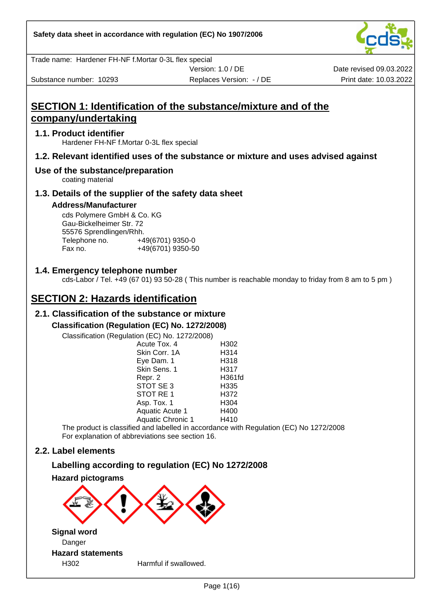Trade name: Hardener FH-NF f.Mortar 0-3L flex special

Substance number: 10293 **Print date: 10.03.2022** Replaces Version: - / DE Print date: 10.03.2022

Version: 1.0 / DE

Date revised 09.03.2022

## **SECTION 1: Identification of the substance/mixture and of the company/undertaking**

#### **1.1. Product identifier**

Hardener FH-NF f.Mortar 0-3L flex special

## **1.2. Relevant identified uses of the substance or mixture and uses advised against**

#### **Use of the substance/preparation**

coating material

#### **1.3. Details of the supplier of the safety data sheet**

#### **Address/Manufacturer**

cds Polymere GmbH & Co. KG Gau-Bickelheimer Str. 72 55576 Sprendlingen/Rhh. Telephone no. +49(6701) 9350-0 Fax no. +49(6701) 9350-50

#### **1.4. Emergency telephone number**

cds-Labor / Tel. +49 (67 01) 93 50-28 ( This number is reachable monday to friday from 8 am to 5 pm )

## **SECTION 2: Hazards identification**

## **2.1. Classification of the substance or mixture**

#### **Classification (Regulation (EC) No. 1272/2008)**

Classification (Regulation (EC) No. 1272/2008)

| $-9$ and $-0.1$ ( $-0.7$ ) $-0.1$ . $-0.2$ $-0.00$ $-0.00$ |        |
|------------------------------------------------------------|--------|
| Acute Tox. 4                                               | H302   |
| Skin Corr. 1A                                              | H314   |
| Eye Dam. 1                                                 | H318   |
| Skin Sens. 1                                               | H317   |
| Repr. 2                                                    | H361fd |
| STOT SE 3                                                  | H335   |
| STOT RE 1                                                  | H372   |
| Asp. Tox. 1                                                | H304   |
| <b>Aquatic Acute 1</b>                                     | H400   |
| <b>Aquatic Chronic 1</b>                                   | H410   |
|                                                            |        |

The product is classified and labelled in accordance with Regulation (EC) No 1272/2008 For explanation of abbreviations see section 16.

## **2.2. Label elements**

## **Labelling according to regulation (EC) No 1272/2008**

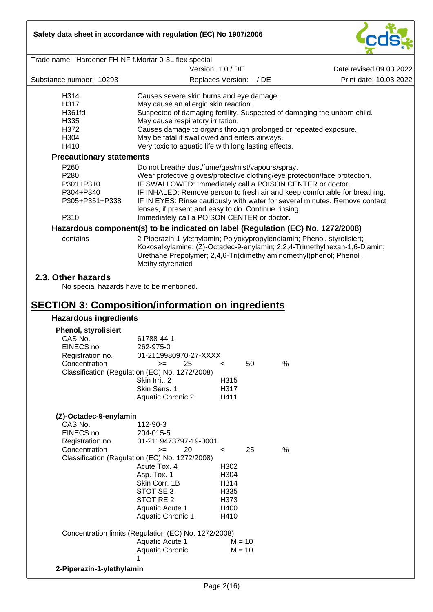

| Trade name: Hardener FH-NF f.Mortar 0-3L flex special                                    |                                                                                                                                                                                                                                                |         |    |      |                         |
|------------------------------------------------------------------------------------------|------------------------------------------------------------------------------------------------------------------------------------------------------------------------------------------------------------------------------------------------|---------|----|------|-------------------------|
|                                                                                          | Version: 1.0 / DE                                                                                                                                                                                                                              |         |    |      | Date revised 09.03.2022 |
| Substance number: 10293                                                                  | Replaces Version: - / DE                                                                                                                                                                                                                       |         |    |      | Print date: 10.03.2022  |
| H314                                                                                     | Causes severe skin burns and eye damage.                                                                                                                                                                                                       |         |    |      |                         |
| H317                                                                                     | May cause an allergic skin reaction.                                                                                                                                                                                                           |         |    |      |                         |
| H361fd                                                                                   | Suspected of damaging fertility. Suspected of damaging the unborn child.                                                                                                                                                                       |         |    |      |                         |
| H335                                                                                     | May cause respiratory irritation.                                                                                                                                                                                                              |         |    |      |                         |
| H372                                                                                     | Causes damage to organs through prolonged or repeated exposure.                                                                                                                                                                                |         |    |      |                         |
| H304                                                                                     | May be fatal if swallowed and enters airways.                                                                                                                                                                                                  |         |    |      |                         |
| H410                                                                                     | Very toxic to aquatic life with long lasting effects.                                                                                                                                                                                          |         |    |      |                         |
| <b>Precautionary statements</b>                                                          |                                                                                                                                                                                                                                                |         |    |      |                         |
| P260                                                                                     | Do not breathe dust/fume/gas/mist/vapours/spray.                                                                                                                                                                                               |         |    |      |                         |
| P280                                                                                     | Wear protective gloves/protective clothing/eye protection/face protection.                                                                                                                                                                     |         |    |      |                         |
| P301+P310                                                                                | IF SWALLOWED: Immediately call a POISON CENTER or doctor.                                                                                                                                                                                      |         |    |      |                         |
| P304+P340                                                                                | IF INHALED: Remove person to fresh air and keep comfortable for breathing.                                                                                                                                                                     |         |    |      |                         |
| P305+P351+P338                                                                           | IF IN EYES: Rinse cautiously with water for several minutes. Remove contact                                                                                                                                                                    |         |    |      |                         |
|                                                                                          | lenses, if present and easy to do. Continue rinsing.                                                                                                                                                                                           |         |    |      |                         |
| P310                                                                                     | Immediately call a POISON CENTER or doctor.                                                                                                                                                                                                    |         |    |      |                         |
|                                                                                          | Hazardous component(s) to be indicated on label (Regulation (EC) No. 1272/2008)                                                                                                                                                                |         |    |      |                         |
| contains                                                                                 | 2-Piperazin-1-ylethylamin; Polyoxypropylendiamin; Phenol, styrolisiert;<br>Kokosalkylamine; (Z)-Octadec-9-enylamin; 2,2,4-Trimethylhexan-1,6-Diamin;<br>Urethane Prepolymer; 2,4,6-Tri(dimethylaminomethyl)phenol; Phenol,<br>Methylstyrenated |         |    |      |                         |
| <b>SECTION 3: Composition/information on ingredients</b><br><b>Hazardous ingredients</b> | No special hazards have to be mentioned.                                                                                                                                                                                                       |         |    |      |                         |
|                                                                                          |                                                                                                                                                                                                                                                |         |    |      |                         |
| <b>Phenol, styrolisiert</b><br>CAS No.                                                   | 61788-44-1                                                                                                                                                                                                                                     |         |    |      |                         |
| EINECS no.                                                                               | 262-975-0                                                                                                                                                                                                                                      |         |    |      |                         |
| Registration no.                                                                         | 01-2119980970-27-XXXX                                                                                                                                                                                                                          |         |    |      |                         |
| Concentration                                                                            | 25<br>$>=$                                                                                                                                                                                                                                     | <       | 50 | $\%$ |                         |
|                                                                                          | Classification (Regulation (EC) No. 1272/2008)                                                                                                                                                                                                 |         |    |      |                         |
|                                                                                          | Skin Irrit. 2                                                                                                                                                                                                                                  | H315    |    |      |                         |
|                                                                                          | Skin Sens. 1                                                                                                                                                                                                                                   | H317    |    |      |                         |
|                                                                                          | <b>Aquatic Chronic 2</b>                                                                                                                                                                                                                       | H411    |    |      |                         |
|                                                                                          |                                                                                                                                                                                                                                                |         |    |      |                         |
| (Z)-Octadec-9-enylamin                                                                   |                                                                                                                                                                                                                                                |         |    |      |                         |
| CAS No.                                                                                  | 112-90-3                                                                                                                                                                                                                                       |         |    |      |                         |
| EINECS no.                                                                               | 204-015-5                                                                                                                                                                                                                                      |         |    |      |                         |
| Registration no.                                                                         | 01-2119473797-19-0001                                                                                                                                                                                                                          |         |    |      |                         |
| Concentration                                                                            | 20<br>$>=$                                                                                                                                                                                                                                     | $\,<\,$ | 25 | $\%$ |                         |
|                                                                                          | Classification (Regulation (EC) No. 1272/2008)                                                                                                                                                                                                 |         |    |      |                         |
|                                                                                          | Acute Tox. 4                                                                                                                                                                                                                                   | H302    |    |      |                         |
|                                                                                          | Asp. Tox. 1                                                                                                                                                                                                                                    | H304    |    |      |                         |
|                                                                                          | Skin Corr. 1B                                                                                                                                                                                                                                  | H314    |    |      |                         |
|                                                                                          | STOT SE 3                                                                                                                                                                                                                                      | H335    |    |      |                         |
|                                                                                          | STOT RE <sub>2</sub>                                                                                                                                                                                                                           | H373    |    |      |                         |
|                                                                                          | Aquatic Acute 1                                                                                                                                                                                                                                | H400    |    |      |                         |
|                                                                                          | <b>Aquatic Chronic 1</b>                                                                                                                                                                                                                       | H410    |    |      |                         |
|                                                                                          | Concentration limits (Regulation (EC) No. 1272/2008)                                                                                                                                                                                           |         |    |      |                         |

Aquatic Acute 1  $M = 10$ Aquatic Chronic 1

## **2-Piperazin-1-ylethylamin**

 $M = 10$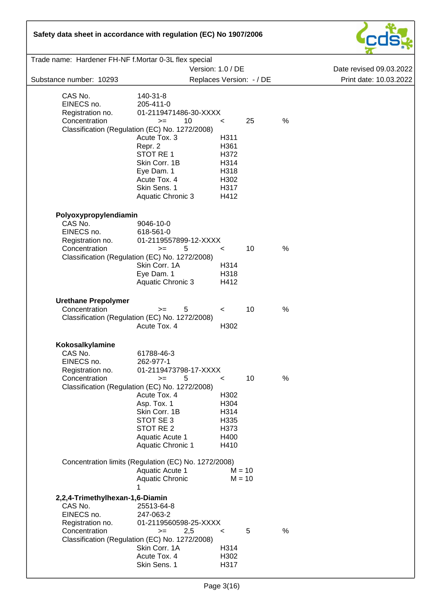

| Trade name: Hardener FH-NF f.Mortar 0-3L flex special                                         |                                                                                                                                                                                                                                                  |                                                                         |                          |      |                         |
|-----------------------------------------------------------------------------------------------|--------------------------------------------------------------------------------------------------------------------------------------------------------------------------------------------------------------------------------------------------|-------------------------------------------------------------------------|--------------------------|------|-------------------------|
|                                                                                               | Version: 1.0 / DE                                                                                                                                                                                                                                |                                                                         |                          |      | Date revised 09.03.2022 |
| Substance number: 10293                                                                       |                                                                                                                                                                                                                                                  |                                                                         | Replaces Version: - / DE |      | Print date: 10.03.2022  |
| CAS No.<br>EINECS no.<br>Registration no.<br>Concentration                                    | 140-31-8<br>205-411-0<br>01-2119471486-30-XXXX<br>10<br>$>=$<br>Classification (Regulation (EC) No. 1272/2008)<br>Acute Tox. 3<br>Repr. 2<br>STOT RE1<br>Skin Corr. 1B<br>Eye Dam. 1<br>Acute Tox. 4<br>Skin Sens. 1<br><b>Aquatic Chronic 3</b> | $\,<\,$<br>H311<br>H361<br>H372<br>H314<br>H318<br>H302<br>H317<br>H412 | 25                       | %    |                         |
| Polyoxypropylendiamin                                                                         |                                                                                                                                                                                                                                                  |                                                                         |                          |      |                         |
| CAS No.<br>EINECS no.<br>Registration no.                                                     | 9046-10-0<br>618-561-0<br>01-2119557899-12-XXXX                                                                                                                                                                                                  |                                                                         |                          |      |                         |
| Concentration                                                                                 | 5<br>$>=$<br>Classification (Regulation (EC) No. 1272/2008)                                                                                                                                                                                      | $\,<\,$                                                                 | 10                       | %    |                         |
|                                                                                               | Skin Corr. 1A<br>Eye Dam. 1<br>Aquatic Chronic 3                                                                                                                                                                                                 | H314<br>H318<br>H412                                                    |                          |      |                         |
| <b>Urethane Prepolymer</b>                                                                    |                                                                                                                                                                                                                                                  |                                                                         |                          |      |                         |
| Concentration                                                                                 | 5<br>$>=$<br>Classification (Regulation (EC) No. 1272/2008)<br>Acute Tox. 4                                                                                                                                                                      | $\,<\,$<br>H302                                                         | 10                       | %    |                         |
| Kokosalkylamine                                                                               |                                                                                                                                                                                                                                                  |                                                                         |                          |      |                         |
| CAS No.<br>EINECS no.<br>Registration no.                                                     | 61788-46-3<br>262-977-1<br>01-2119473798-17-XXXX                                                                                                                                                                                                 |                                                                         |                          |      |                         |
| Concentration                                                                                 | 5<br>$>=$<br>Classification (Regulation (EC) No. 1272/2008)                                                                                                                                                                                      | <                                                                       | 10                       | $\%$ |                         |
|                                                                                               | Acute Tox. 4<br>Asp. Tox. 1<br>Skin Corr. 1B<br>STOT SE 3<br>STOT RE 2<br>Aquatic Acute 1<br><b>Aquatic Chronic 1</b>                                                                                                                            | H302<br>H304<br>H314<br>H335<br>H373<br>H400<br>H410                    |                          |      |                         |
|                                                                                               | Concentration limits (Regulation (EC) No. 1272/2008)<br>Aquatic Acute 1<br><b>Aquatic Chronic</b>                                                                                                                                                | $M = 10$<br>$M = 10$                                                    |                          |      |                         |
|                                                                                               | 1                                                                                                                                                                                                                                                |                                                                         |                          |      |                         |
| 2,2,4-Trimethylhexan-1,6-Diamin<br>CAS No.<br>EINECS no.<br>Registration no.<br>Concentration | 25513-64-8<br>247-063-2<br>01-2119560598-25-XXXX<br>2,5<br>$>=$                                                                                                                                                                                  | $\,<\,$                                                                 | 5                        | $\%$ |                         |
|                                                                                               | Classification (Regulation (EC) No. 1272/2008)<br>Skin Corr. 1A<br>Acute Tox. 4<br>Skin Sens. 1                                                                                                                                                  | H314<br>H302<br>H317                                                    |                          |      |                         |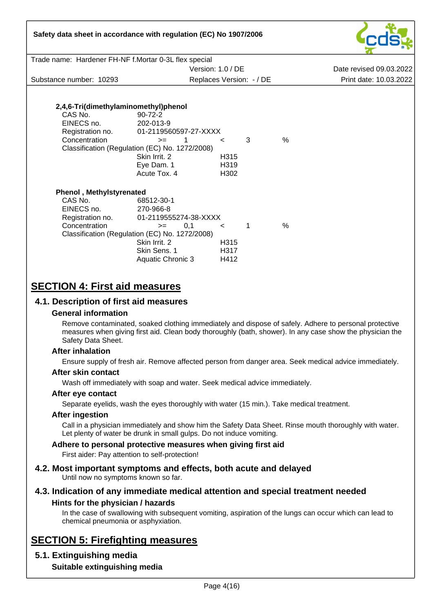| Safety data sheet in accordance with regulation (EC) No 1907/2006                              |                                                                                                                                                                         |                                |             |               |                                                                                                                                                                                                                   |  |  |  |  |
|------------------------------------------------------------------------------------------------|-------------------------------------------------------------------------------------------------------------------------------------------------------------------------|--------------------------------|-------------|---------------|-------------------------------------------------------------------------------------------------------------------------------------------------------------------------------------------------------------------|--|--|--|--|
|                                                                                                | Trade name: Hardener FH-NF f.Mortar 0-3L flex special                                                                                                                   |                                |             |               |                                                                                                                                                                                                                   |  |  |  |  |
|                                                                                                |                                                                                                                                                                         | Version: 1.0 / DE              |             |               | Date revised 09.03.2022                                                                                                                                                                                           |  |  |  |  |
| Substance number: 10293                                                                        |                                                                                                                                                                         | Replaces Version: - / DE       |             |               | Print date: 10.03.2022                                                                                                                                                                                            |  |  |  |  |
|                                                                                                |                                                                                                                                                                         |                                |             |               |                                                                                                                                                                                                                   |  |  |  |  |
|                                                                                                |                                                                                                                                                                         |                                |             |               |                                                                                                                                                                                                                   |  |  |  |  |
| 2,4,6-Tri(dimethylaminomethyl)phenol                                                           |                                                                                                                                                                         |                                |             |               |                                                                                                                                                                                                                   |  |  |  |  |
| CAS No.                                                                                        | $90 - 72 - 2$                                                                                                                                                           |                                |             |               |                                                                                                                                                                                                                   |  |  |  |  |
| EINECS no.                                                                                     | 202-013-9                                                                                                                                                               |                                |             |               |                                                                                                                                                                                                                   |  |  |  |  |
| Registration no.<br>Concentration                                                              | 01-2119560597-27-XXXX<br>$>=$                                                                                                                                           |                                | 3           | $\frac{0}{0}$ |                                                                                                                                                                                                                   |  |  |  |  |
|                                                                                                | $1 \quad \Box$<br>Classification (Regulation (EC) No. 1272/2008)                                                                                                        | $\prec$                        |             |               |                                                                                                                                                                                                                   |  |  |  |  |
|                                                                                                | Skin Irrit. 2                                                                                                                                                           | H315                           |             |               |                                                                                                                                                                                                                   |  |  |  |  |
|                                                                                                | Eye Dam. 1                                                                                                                                                              | H319                           |             |               |                                                                                                                                                                                                                   |  |  |  |  |
|                                                                                                | Acute Tox. 4                                                                                                                                                            | H302                           |             |               |                                                                                                                                                                                                                   |  |  |  |  |
|                                                                                                |                                                                                                                                                                         |                                |             |               |                                                                                                                                                                                                                   |  |  |  |  |
| <b>Phenol</b> , Methylstyrenated<br>CAS No.<br>EINECS no.<br>Registration no.<br>Concentration | 68512-30-1<br>270-966-8<br>01-2119555274-38-XXXX<br>0,1<br>$>=$<br>Classification (Regulation (EC) No. 1272/2008)<br>Skin Irrit. 2<br>Skin Sens, 1<br>Aquatic Chronic 3 | $\leq$<br>H315<br>H317<br>H412 | $\mathbf 1$ | $\frac{0}{0}$ |                                                                                                                                                                                                                   |  |  |  |  |
| <b>SECTION 4: First aid measures</b>                                                           |                                                                                                                                                                         |                                |             |               |                                                                                                                                                                                                                   |  |  |  |  |
| 4.1. Description of first aid measures                                                         |                                                                                                                                                                         |                                |             |               |                                                                                                                                                                                                                   |  |  |  |  |
| <b>General information</b>                                                                     |                                                                                                                                                                         |                                |             |               |                                                                                                                                                                                                                   |  |  |  |  |
| Safety Data Sheet.                                                                             |                                                                                                                                                                         |                                |             |               | Remove contaminated, soaked clothing immediately and dispose of safely. Adhere to personal protective<br>measures when giving first aid. Clean body thoroughly (bath, shower). In any case show the physician the |  |  |  |  |
| <b>After inhalation</b>                                                                        |                                                                                                                                                                         |                                |             |               |                                                                                                                                                                                                                   |  |  |  |  |
|                                                                                                |                                                                                                                                                                         |                                |             |               | Ensure supply of fresh air. Remove affected person from danger area. Seek medical advice immediately.                                                                                                             |  |  |  |  |
| After skin contact                                                                             |                                                                                                                                                                         |                                |             |               |                                                                                                                                                                                                                   |  |  |  |  |

Wash off immediately with soap and water. Seek medical advice immediately.

## **After eye contact**

Separate eyelids, wash the eyes thoroughly with water (15 min.). Take medical treatment.

## **After ingestion**

Call in a physician immediately and show him the Safety Data Sheet. Rinse mouth thoroughly with water. Let plenty of water be drunk in small gulps. Do not induce vomiting.

## **Adhere to personal protective measures when giving first aid**

First aider: Pay attention to self-protection!

**4.2. Most important symptoms and effects, both acute and delayed** Until now no symptoms known so far.

## **4.3. Indication of any immediate medical attention and special treatment needed Hints for the physician / hazards**

In the case of swallowing with subsequent vomiting, aspiration of the lungs can occur which can lead to chemical pneumonia or asphyxiation.

# **SECTION 5: Firefighting measures**

## **5.1. Extinguishing media**

**Suitable extinguishing media**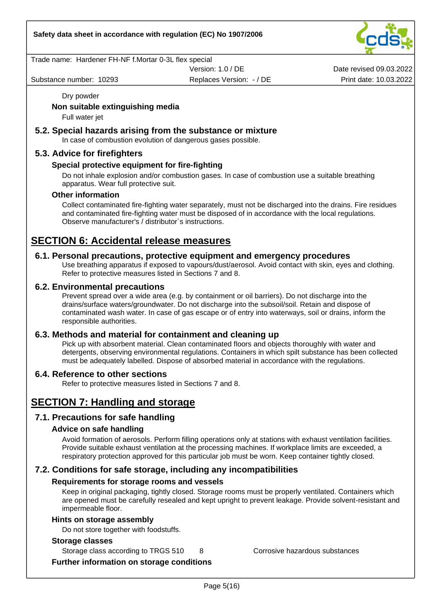Trade name: Hardener FH-NF f.Mortar 0-3L flex special

Version: 1.0 / DE

Substance number: 10293 **Print date: 10.03.2022** Replaces Version: - / DE Print date: 10.03.2022

Date revised 09.03.2022

Dry powder

#### **Non suitable extinguishing media**

Full water jet

#### **5.2. Special hazards arising from the substance or mixture**

In case of combustion evolution of dangerous gases possible.

#### **5.3. Advice for firefighters**

#### **Special protective equipment for fire-fighting**

Do not inhale explosion and/or combustion gases. In case of combustion use a suitable breathing apparatus. Wear full protective suit.

#### **Other information**

Collect contaminated fire-fighting water separately, must not be discharged into the drains. Fire residues and contaminated fire-fighting water must be disposed of in accordance with the local regulations. Observe manufacturer's / distributor`s instructions.

## **SECTION 6: Accidental release measures**

#### **6.1. Personal precautions, protective equipment and emergency procedures**

Use breathing apparatus if exposed to vapours/dust/aerosol. Avoid contact with skin, eyes and clothing. Refer to protective measures listed in Sections 7 and 8.

#### **6.2. Environmental precautions**

Prevent spread over a wide area (e.g. by containment or oil barriers). Do not discharge into the drains/surface waters/groundwater. Do not discharge into the subsoil/soil. Retain and dispose of contaminated wash water. In case of gas escape or of entry into waterways, soil or drains, inform the responsible authorities.

#### **6.3. Methods and material for containment and cleaning up**

Pick up with absorbent material. Clean contaminated floors and objects thoroughly with water and detergents, observing environmental regulations. Containers in which spilt substance has been collected must be adequately labelled. Dispose of absorbed material in accordance with the regulations.

#### **6.4. Reference to other sections**

Refer to protective measures listed in Sections 7 and 8.

## **SECTION 7: Handling and storage**

## **7.1. Precautions for safe handling**

#### **Advice on safe handling**

Avoid formation of aerosols. Perform filling operations only at stations with exhaust ventilation facilities. Provide suitable exhaust ventilation at the processing machines. If workplace limits are exceeded, a respiratory protection approved for this particular job must be worn. Keep container tightly closed.

## **7.2. Conditions for safe storage, including any incompatibilities**

## **Requirements for storage rooms and vessels**

Keep in original packaging, tightly closed. Storage rooms must be properly ventilated. Containers which are opened must be carefully resealed and kept upright to prevent leakage. Provide solvent-resistant and impermeable floor.

#### **Hints on storage assembly**

Do not store together with foodstuffs.

#### **Storage classes**

Storage class according to TRGS 510 8 Corrosive hazardous substances

**Further information on storage conditions**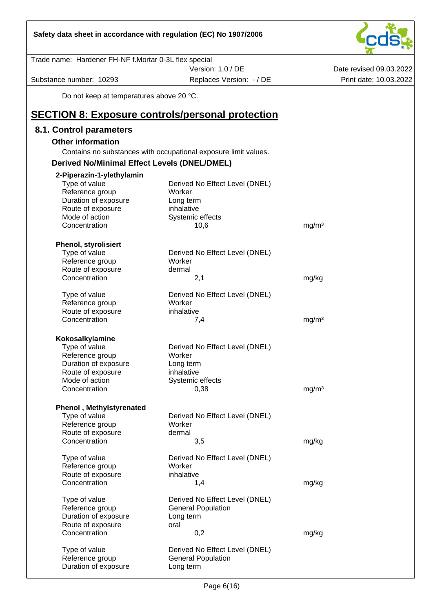| Safety data sheet in accordance with regulation (EC) No 1907/2006 |                                                                 |                         |
|-------------------------------------------------------------------|-----------------------------------------------------------------|-------------------------|
| Trade name: Hardener FH-NF f.Mortar 0-3L flex special             |                                                                 |                         |
|                                                                   | Version: 1.0 / DE                                               | Date revised 09.03.2022 |
| Substance number: 10293                                           | Replaces Version: - / DE                                        | Print date: 10.03.2022  |
| Do not keep at temperatures above 20 °C.                          |                                                                 |                         |
| <b>SECTION 8: Exposure controls/personal protection</b>           |                                                                 |                         |
| 8.1. Control parameters                                           |                                                                 |                         |
| <b>Other information</b>                                          |                                                                 |                         |
|                                                                   | Contains no substances with occupational exposure limit values. |                         |
| <b>Derived No/Minimal Effect Levels (DNEL/DMEL)</b>               |                                                                 |                         |
| 2-Piperazin-1-ylethylamin                                         |                                                                 |                         |
| Type of value                                                     | Derived No Effect Level (DNEL)                                  |                         |
| Reference group                                                   | Worker                                                          |                         |
| Duration of exposure<br>Route of exposure                         | Long term<br>inhalative                                         |                         |
| Mode of action                                                    | Systemic effects                                                |                         |
| Concentration                                                     | 10,6                                                            | mg/m <sup>3</sup>       |
|                                                                   |                                                                 |                         |
| <b>Phenol, styrolisiert</b><br>Type of value                      | Derived No Effect Level (DNEL)                                  |                         |
| Reference group                                                   | Worker                                                          |                         |
| Route of exposure                                                 | dermal                                                          |                         |
| Concentration                                                     | 2,1                                                             | mg/kg                   |
| Type of value                                                     | Derived No Effect Level (DNEL)                                  |                         |
| Reference group                                                   | Worker                                                          |                         |
| Route of exposure                                                 | inhalative                                                      |                         |
| Concentration                                                     | 7,4                                                             | mg/m <sup>3</sup>       |
| Kokosalkylamine                                                   |                                                                 |                         |
| Type of value                                                     | Derived No Effect Level (DNEL)                                  |                         |
| Reference group                                                   | Worker                                                          |                         |
| Duration of exposure<br>Route of exposure                         | Long term<br>inhalative                                         |                         |
| Mode of action                                                    | Systemic effects                                                |                         |
| Concentration                                                     | 0,38                                                            | mg/m <sup>3</sup>       |
|                                                                   |                                                                 |                         |
| <b>Phenol, Methylstyrenated</b>                                   |                                                                 |                         |
| Type of value<br>Reference group                                  | Derived No Effect Level (DNEL)<br>Worker                        |                         |
| Route of exposure                                                 | dermal                                                          |                         |
| Concentration                                                     | 3,5                                                             | mg/kg                   |
| Type of value                                                     | Derived No Effect Level (DNEL)                                  |                         |
| Reference group                                                   | Worker                                                          |                         |
| Route of exposure                                                 | inhalative                                                      |                         |
| Concentration                                                     | 1,4                                                             | mg/kg                   |
| Type of value                                                     | Derived No Effect Level (DNEL)                                  |                         |
| Reference group                                                   | <b>General Population</b>                                       |                         |
| Duration of exposure                                              | Long term                                                       |                         |
| Route of exposure                                                 | oral                                                            |                         |
| Concentration                                                     | 0,2                                                             | mg/kg                   |

 $\frac{1}{2}$ 

Type of value Derived No Effect Level (DNEL)<br>
Reference group General Population Duration of exposure

General Population<br>Long term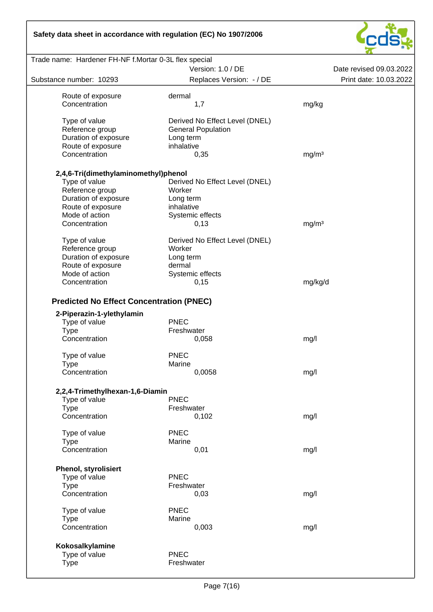

|                                            | Version: 1.0 / DE              | Date revised 09.03.2022 |
|--------------------------------------------|--------------------------------|-------------------------|
| Substance number: 10293                    | Replaces Version: - / DE       | Print date: 10.03.2022  |
|                                            |                                |                         |
| Route of exposure                          | dermal                         |                         |
| Concentration                              | 1,7                            | mg/kg                   |
| Type of value                              | Derived No Effect Level (DNEL) |                         |
| Reference group                            | <b>General Population</b>      |                         |
| Duration of exposure                       |                                |                         |
|                                            | Long term                      |                         |
| Route of exposure                          | inhalative                     |                         |
| Concentration                              | 0,35                           | mg/m <sup>3</sup>       |
| 2,4,6-Tri(dimethylaminomethyl)phenol       |                                |                         |
| Type of value                              | Derived No Effect Level (DNEL) |                         |
| Reference group                            | Worker                         |                         |
|                                            |                                |                         |
| Duration of exposure                       | Long term                      |                         |
| Route of exposure                          | inhalative                     |                         |
| Mode of action                             | Systemic effects               |                         |
| Concentration                              | 0,13                           | mg/m <sup>3</sup>       |
|                                            |                                |                         |
| Type of value                              | Derived No Effect Level (DNEL) |                         |
| Reference group                            | Worker                         |                         |
| Duration of exposure                       | Long term                      |                         |
| Route of exposure                          | dermal                         |                         |
| Mode of action                             | Systemic effects               |                         |
| Concentration                              | 0,15                           | mg/kg/d                 |
| 2-Piperazin-1-ylethylamin<br>Type of value | <b>PNEC</b>                    |                         |
| <b>Type</b>                                | Freshwater                     |                         |
| Concentration                              | 0,058                          | mg/l                    |
| Type of value                              | <b>PNEC</b>                    |                         |
| <b>Type</b>                                | Marine                         |                         |
| Concentration                              | 0,0058                         | mg/l                    |
|                                            |                                |                         |
| 2,2,4-Trimethylhexan-1,6-Diamin            | <b>PNEC</b>                    |                         |
| Type of value                              |                                |                         |
| <b>Type</b>                                | Freshwater                     |                         |
| Concentration                              | 0,102                          | mg/l                    |
| Type of value                              | <b>PNEC</b>                    |                         |
| <b>Type</b>                                | Marine                         |                         |
| Concentration                              | 0,01                           | mg/l                    |
|                                            |                                |                         |
| <b>Phenol, styrolisiert</b>                |                                |                         |
| Type of value                              | PNEC                           |                         |
| <b>Type</b>                                | Freshwater                     |                         |
| Concentration                              | 0,03                           | mg/l                    |
| Type of value                              | <b>PNEC</b>                    |                         |
| <b>Type</b>                                | Marine                         |                         |
| Concentration                              |                                |                         |
|                                            | 0,003                          | mg/l                    |
| Kokosalkylamine                            |                                |                         |
| Type of value                              | <b>PNEC</b>                    |                         |
| <b>Type</b>                                | Freshwater                     |                         |
|                                            |                                |                         |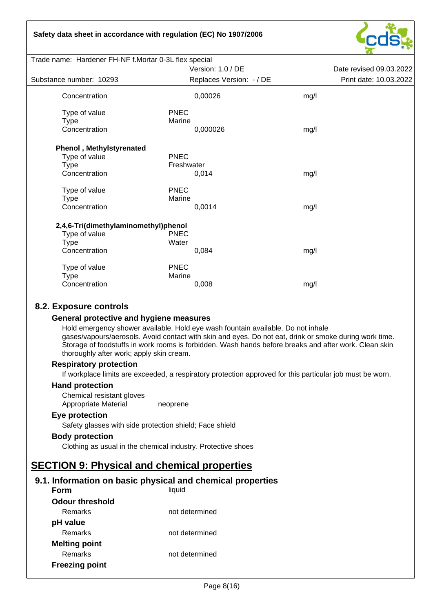

| Trade name: Hardener FH-NF f.Mortar 0-3L flex special |                          |      |                         |
|-------------------------------------------------------|--------------------------|------|-------------------------|
|                                                       | Version: 1.0 / DE        |      | Date revised 09.03.2022 |
| Substance number: 10293                               | Replaces Version: - / DE |      | Print date: 10.03.2022  |
| Concentration                                         | 0,00026                  | mg/l |                         |
| Type of value                                         | <b>PNEC</b>              |      |                         |
| Type                                                  | Marine                   |      |                         |
| Concentration                                         | 0,000026                 | mg/l |                         |
| <b>Phenol, Methylstyrenated</b>                       |                          |      |                         |
| Type of value                                         | <b>PNEC</b>              |      |                         |
| <b>Type</b>                                           | Freshwater               |      |                         |
| Concentration                                         | 0,014                    | mg/l |                         |
| Type of value                                         | <b>PNEC</b>              |      |                         |
| Type                                                  | Marine                   |      |                         |
| Concentration                                         | 0,0014                   | mg/l |                         |
| 2,4,6-Tri(dimethylaminomethyl)phenol                  |                          |      |                         |
| Type of value                                         | <b>PNEC</b>              |      |                         |
| Type                                                  | Water                    |      |                         |
| Concentration                                         | 0,084                    | mg/l |                         |
| Type of value                                         | <b>PNEC</b>              |      |                         |
| Type                                                  | Marine                   |      |                         |
| Concentration                                         | 0,008                    | mg/l |                         |
|                                                       |                          |      |                         |

## **8.2. Exposure controls**

#### **General protective and hygiene measures**

Hold emergency shower available. Hold eye wash fountain available. Do not inhale gases/vapours/aerosols. Avoid contact with skin and eyes. Do not eat, drink or smoke during work time. Storage of foodstuffs in work rooms is forbidden. Wash hands before breaks and after work. Clean skin thoroughly after work; apply skin cream.

#### **Respiratory protection**

If workplace limits are exceeded, a respiratory protection approved for this particular job must be worn.

#### **Hand protection**

Chemical resistant gloves Appropriate Material neoprene

#### **Eye protection**

Safety glasses with side protection shield; Face shield

#### **Body protection**

Clothing as usual in the chemical industry. Protective shoes

## **SECTION 9: Physical and chemical properties**

## **9.1. Information on basic physical and chemical properties**

| Form                   | liquid         |
|------------------------|----------------|
| <b>Odour threshold</b> |                |
| Remarks                | not determined |
| pH value               |                |
| Remarks                | not determined |
| <b>Melting point</b>   |                |
| Remarks                | not determined |
| <b>Freezing point</b>  |                |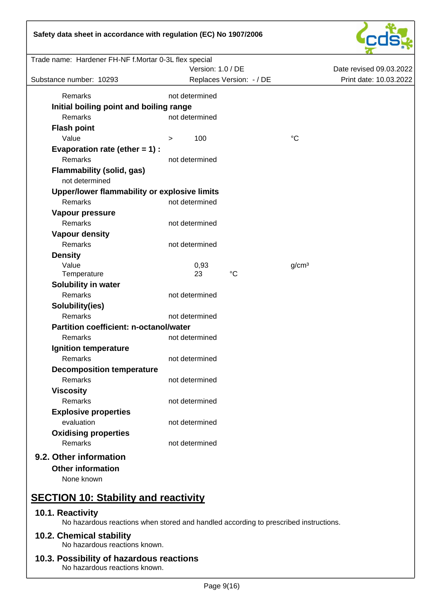

| Trade name: Hardener FH-NF f.Mortar 0-3L flex special |                   |                          |                         |                        |
|-------------------------------------------------------|-------------------|--------------------------|-------------------------|------------------------|
|                                                       | Version: 1.0 / DE |                          | Date revised 09.03.2022 |                        |
| Substance number: 10293                               |                   | Replaces Version: - / DE |                         | Print date: 10.03.2022 |
| Remarks                                               | not determined    |                          |                         |                        |
| Initial boiling point and boiling range               |                   |                          |                         |                        |
| Remarks                                               | not determined    |                          |                         |                        |
| <b>Flash point</b>                                    |                   |                          |                         |                        |
| Value                                                 | 100<br>>          |                          | $^{\circ}C$             |                        |
| Evaporation rate (ether $= 1$ ) :                     |                   |                          |                         |                        |
| Remarks                                               | not determined    |                          |                         |                        |
| <b>Flammability (solid, gas)</b>                      |                   |                          |                         |                        |
| not determined                                        |                   |                          |                         |                        |
| Upper/lower flammability or explosive limits          |                   |                          |                         |                        |
| Remarks                                               | not determined    |                          |                         |                        |
| Vapour pressure                                       |                   |                          |                         |                        |
| Remarks                                               | not determined    |                          |                         |                        |
| <b>Vapour density</b>                                 |                   |                          |                         |                        |
| Remarks                                               | not determined    |                          |                         |                        |
| <b>Density</b>                                        |                   |                          |                         |                        |
| Value                                                 | 0,93              |                          | g/cm <sup>3</sup>       |                        |
| Temperature                                           | 23                | $^{\circ}C$              |                         |                        |
| Solubility in water                                   |                   |                          |                         |                        |
| Remarks                                               | not determined    |                          |                         |                        |
| Solubility(ies)                                       |                   |                          |                         |                        |
| Remarks                                               | not determined    |                          |                         |                        |
| <b>Partition coefficient: n-octanol/water</b>         |                   |                          |                         |                        |
| Remarks                                               | not determined    |                          |                         |                        |
| Ignition temperature                                  |                   |                          |                         |                        |
| Remarks                                               | not determined    |                          |                         |                        |
| <b>Decomposition temperature</b>                      |                   |                          |                         |                        |
| Remarks                                               | not determined    |                          |                         |                        |
| <b>Viscosity</b>                                      |                   |                          |                         |                        |
| Remarks                                               | not determined    |                          |                         |                        |
| <b>Explosive properties</b>                           |                   |                          |                         |                        |
| evaluation                                            | not determined    |                          |                         |                        |
| <b>Oxidising properties</b>                           |                   |                          |                         |                        |
| Remarks                                               | not determined    |                          |                         |                        |
| 9.2. Other information                                |                   |                          |                         |                        |
| <b>Other information</b>                              |                   |                          |                         |                        |
| None known                                            |                   |                          |                         |                        |
|                                                       |                   |                          |                         |                        |
| <b>SECTION 10: Stability and reactivity</b>           |                   |                          |                         |                        |
| 10.1. Reactivity                                      |                   |                          |                         |                        |

No hazardous reactions when stored and handled according to prescribed instructions.

## **10.2. Chemical stability**

No hazardous reactions known.

# **10.3. Possibility of hazardous reactions**

No hazardous reactions known.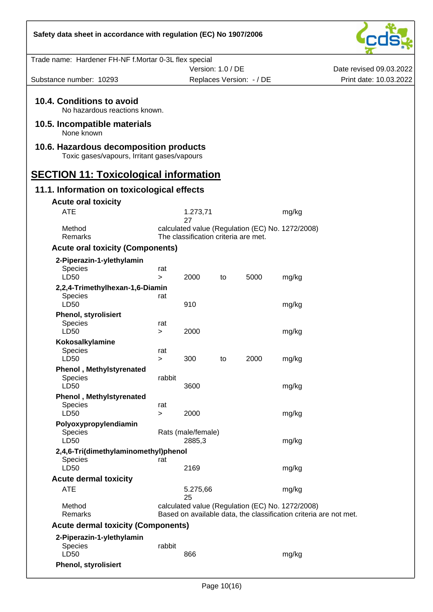| Safety data sheet in accordance with regulation (EC) No 1907/2006                     |               |                                            |    |                                                  |                                                                   |                         |
|---------------------------------------------------------------------------------------|---------------|--------------------------------------------|----|--------------------------------------------------|-------------------------------------------------------------------|-------------------------|
| Trade name: Hardener FH-NF f.Mortar 0-3L flex special                                 |               |                                            |    |                                                  |                                                                   |                         |
|                                                                                       |               | Version: 1.0 / DE                          |    |                                                  |                                                                   | Date revised 09.03.2022 |
| Substance number: 10293                                                               |               |                                            |    | Replaces Version: - / DE                         |                                                                   | Print date: 10.03.2022  |
| 10.4. Conditions to avoid<br>No hazardous reactions known.                            |               |                                            |    |                                                  |                                                                   |                         |
| 10.5. Incompatible materials<br>None known                                            |               |                                            |    |                                                  |                                                                   |                         |
| 10.6. Hazardous decomposition products<br>Toxic gases/vapours, Irritant gases/vapours |               |                                            |    |                                                  |                                                                   |                         |
| <b>SECTION 11: Toxicological information</b>                                          |               |                                            |    |                                                  |                                                                   |                         |
| 11.1. Information on toxicological effects<br><b>Acute oral toxicity</b>              |               |                                            |    |                                                  |                                                                   |                         |
| <b>ATE</b>                                                                            |               | 1.273,71                                   |    |                                                  | mg/kg                                                             |                         |
| Method<br><b>Remarks</b>                                                              |               | 27<br>The classification criteria are met. |    | calculated value (Regulation (EC) No. 1272/2008) |                                                                   |                         |
| <b>Acute oral toxicity (Components)</b>                                               |               |                                            |    |                                                  |                                                                   |                         |
| 2-Piperazin-1-ylethylamin<br>Species<br>LD50                                          | rat<br>$\geq$ | 2000                                       | to | 5000                                             | mg/kg                                                             |                         |
| 2,2,4-Trimethylhexan-1,6-Diamin<br>Species                                            | rat           |                                            |    |                                                  |                                                                   |                         |
| LD50                                                                                  |               | 910                                        |    |                                                  | mg/kg                                                             |                         |
| <b>Phenol, styrolisiert</b><br>Species<br>LD50                                        | rat<br>>      | 2000                                       |    |                                                  | mg/kg                                                             |                         |
| Kokosalkylamine<br>Species                                                            | rat           |                                            |    | 2000                                             |                                                                   |                         |
| LD50<br><b>Phenol</b> , Methylstyrenated<br>Species                                   | ><br>rabbit   | 300                                        | to |                                                  | mg/kg                                                             |                         |
| LD50                                                                                  |               | 3600                                       |    |                                                  | mg/kg                                                             |                         |
| <b>Phenol</b> , Methylstyrenated<br>Species<br>LD50                                   | rat<br>$\geq$ | 2000                                       |    |                                                  | mg/kg                                                             |                         |
| Polyoxypropylendiamin<br>Species                                                      |               | Rats (male/female)                         |    |                                                  |                                                                   |                         |
| LD50<br>2,4,6-Tri(dimethylaminomethyl)phenol<br><b>Species</b>                        | rat           | 2885,3                                     |    |                                                  | mg/kg                                                             |                         |
| LD50                                                                                  |               | 2169                                       |    |                                                  | mg/kg                                                             |                         |
| <b>Acute dermal toxicity</b><br><b>ATE</b>                                            |               |                                            |    |                                                  |                                                                   |                         |
|                                                                                       |               | 5.275,66<br>25                             |    |                                                  | mg/kg                                                             |                         |
| Method<br>Remarks                                                                     |               |                                            |    | calculated value (Regulation (EC) No. 1272/2008) | Based on available data, the classification criteria are not met. |                         |
| <b>Acute dermal toxicity (Components)</b>                                             |               |                                            |    |                                                  |                                                                   |                         |
| 2-Piperazin-1-ylethylamin<br>Species<br>LD50                                          | rabbit        | 866                                        |    |                                                  | mg/kg                                                             |                         |
| <b>Phenol, styrolisiert</b>                                                           |               |                                            |    |                                                  |                                                                   |                         |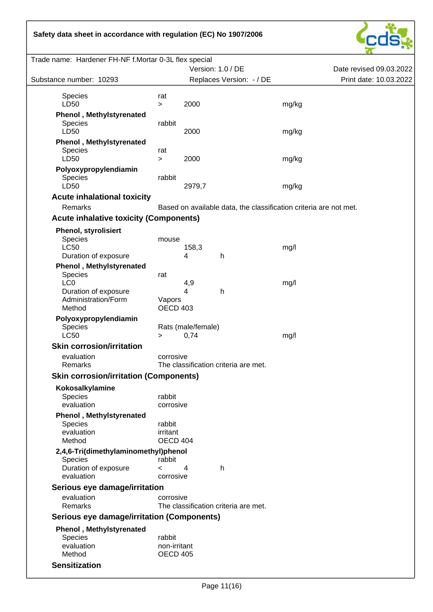

| Trade name: Hardener FH-NF f.Mortar 0-3L flex special                                 |                                                 |                            |                                                                   |       |                         |
|---------------------------------------------------------------------------------------|-------------------------------------------------|----------------------------|-------------------------------------------------------------------|-------|-------------------------|
|                                                                                       |                                                 | Version: 1.0 / DE          |                                                                   |       | Date revised 09.03.2022 |
| Substance number: 10293                                                               |                                                 |                            | Replaces Version: - / DE                                          |       | Print date: 10.03.2022  |
| <b>Species</b><br>LD50                                                                | rat<br>$\, > \,$                                | 2000                       |                                                                   | mg/kg |                         |
| <b>Phenol</b> , Methylstyrenated<br>Species<br>LD50                                   | rabbit                                          | 2000                       |                                                                   | mg/kg |                         |
| <b>Phenol</b> , Methylstyrenated<br>Species<br>LD50                                   | rat<br>$\geq$                                   | 2000                       |                                                                   | mg/kg |                         |
| Polyoxypropylendiamin<br>Species<br>LD50                                              | rabbit                                          | 2979,7                     |                                                                   | mg/kg |                         |
| <b>Acute inhalational toxicity</b><br>Remarks                                         |                                                 |                            | Based on available data, the classification criteria are not met. |       |                         |
| <b>Acute inhalative toxicity (Components)</b>                                         |                                                 |                            |                                                                   |       |                         |
|                                                                                       |                                                 |                            |                                                                   |       |                         |
| <b>Phenol, styrolisiert</b><br>Species<br><b>LC50</b><br>Duration of exposure         | mouse                                           | 158,3<br>4                 | h                                                                 | mg/l  |                         |
| <b>Phenol</b> , Methylstyrenated<br>Species                                           | rat                                             |                            |                                                                   |       |                         |
| LC <sub>0</sub><br>Duration of exposure<br>Administration/Form<br>Method              | Vapors<br><b>OECD 403</b>                       | 4,9<br>$\overline{4}$      | h                                                                 | mg/l  |                         |
| Polyoxypropylendiamin<br>Species<br><b>LC50</b>                                       | $\geq$                                          | Rats (male/female)<br>0,74 |                                                                   | mg/l  |                         |
| <b>Skin corrosion/irritation</b><br>evaluation<br>Remarks                             | corrosive                                       |                            | The classification criteria are met.                              |       |                         |
| <b>Skin corrosion/irritation (Components)</b>                                         |                                                 |                            |                                                                   |       |                         |
| Kokosalkylamine<br>Species<br>evaluation                                              | rabbit<br>corrosive                             |                            |                                                                   |       |                         |
| <b>Phenol</b> , Methylstyrenated<br><b>Species</b><br>evaluation<br>Method            | rabbit<br>irritant<br>OECD 404                  |                            |                                                                   |       |                         |
| 2,4,6-Tri(dimethylaminomethyl)phenol<br>Species<br>Duration of exposure<br>evaluation | rabbit<br>$\overline{\phantom{0}}$<br>corrosive | $\overline{4}$             | h                                                                 |       |                         |
| Serious eye damage/irritation                                                         |                                                 |                            |                                                                   |       |                         |
| evaluation<br>Remarks                                                                 | corrosive                                       |                            | The classification criteria are met.                              |       |                         |
| Serious eye damage/irritation (Components)                                            |                                                 |                            |                                                                   |       |                         |
| <b>Phenol</b> , Methylstyrenated<br>Species<br>evaluation<br>Method                   | rabbit<br>non-irritant<br><b>OECD 405</b>       |                            |                                                                   |       |                         |
| <b>Sensitization</b>                                                                  |                                                 |                            |                                                                   |       |                         |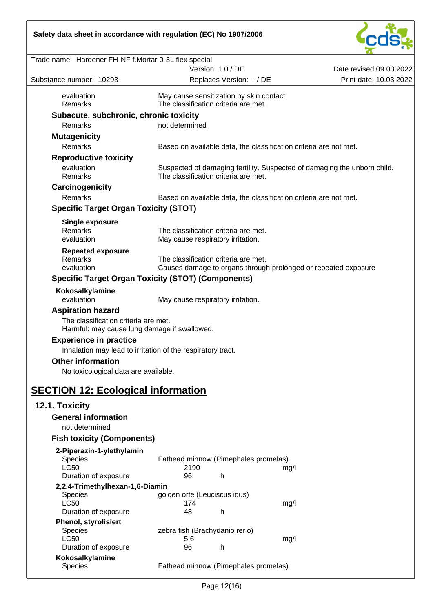

|                                                                                      | Version: 1.0 / DE                                                                                                | Date revised 09.03.2022 |
|--------------------------------------------------------------------------------------|------------------------------------------------------------------------------------------------------------------|-------------------------|
| Substance number: 10293                                                              | Replaces Version: - / DE                                                                                         | Print date: 10.03.2022  |
| evaluation                                                                           | May cause sensitization by skin contact.                                                                         |                         |
| Remarks                                                                              | The classification criteria are met.                                                                             |                         |
| Subacute, subchronic, chronic toxicity                                               |                                                                                                                  |                         |
| Remarks                                                                              | not determined                                                                                                   |                         |
| <b>Mutagenicity</b>                                                                  |                                                                                                                  |                         |
| Remarks                                                                              | Based on available data, the classification criteria are not met.                                                |                         |
| <b>Reproductive toxicity</b>                                                         |                                                                                                                  |                         |
| evaluation<br>Remarks                                                                | Suspected of damaging fertility. Suspected of damaging the unborn child.<br>The classification criteria are met. |                         |
| Carcinogenicity                                                                      |                                                                                                                  |                         |
| Remarks                                                                              | Based on available data, the classification criteria are not met.                                                |                         |
| <b>Specific Target Organ Toxicity (STOT)</b>                                         |                                                                                                                  |                         |
|                                                                                      |                                                                                                                  |                         |
| Single exposure<br><b>Remarks</b>                                                    |                                                                                                                  |                         |
| evaluation                                                                           | The classification criteria are met.<br>May cause respiratory irritation.                                        |                         |
|                                                                                      |                                                                                                                  |                         |
| <b>Repeated exposure</b><br>Remarks                                                  | The classification criteria are met.                                                                             |                         |
| evaluation                                                                           | Causes damage to organs through prolonged or repeated exposure                                                   |                         |
|                                                                                      | <b>Specific Target Organ Toxicity (STOT) (Components)</b>                                                        |                         |
| Kokosalkylamine                                                                      |                                                                                                                  |                         |
| evaluation                                                                           | May cause respiratory irritation.                                                                                |                         |
| <b>Aspiration hazard</b>                                                             |                                                                                                                  |                         |
| The classification criteria are met.<br>Harmful: may cause lung damage if swallowed. |                                                                                                                  |                         |
| <b>Experience in practice</b>                                                        |                                                                                                                  |                         |
|                                                                                      | Inhalation may lead to irritation of the respiratory tract.                                                      |                         |
| <b>Other information</b>                                                             |                                                                                                                  |                         |
| No toxicological data are available.                                                 |                                                                                                                  |                         |
|                                                                                      |                                                                                                                  |                         |
| <b>SECTION 12: Ecological information</b>                                            |                                                                                                                  |                         |
| 12.1. Toxicity                                                                       |                                                                                                                  |                         |
| <b>General information</b>                                                           |                                                                                                                  |                         |
| not determined                                                                       |                                                                                                                  |                         |
| <b>Fish toxicity (Components)</b>                                                    |                                                                                                                  |                         |
| 2-Piperazin-1-ylethylamin                                                            |                                                                                                                  |                         |
| Species                                                                              | Fathead minnow (Pimephales promelas)                                                                             |                         |
| <b>LC50</b>                                                                          | 2190<br>mg/l                                                                                                     |                         |
| Duration of exposure                                                                 | 96<br>h                                                                                                          |                         |
| 2,2,4-Trimethylhexan-1,6-Diamin                                                      |                                                                                                                  |                         |
| <b>Species</b>                                                                       | golden orfe (Leuciscus idus)                                                                                     |                         |
| <b>LC50</b><br>Duration of exposure                                                  | 174<br>mg/l<br>48<br>h                                                                                           |                         |
| <b>Phenol, styrolisiert</b>                                                          |                                                                                                                  |                         |
| Species                                                                              | zebra fish (Brachydanio rerio)                                                                                   |                         |
| <b>LC50</b>                                                                          | 5,6<br>mg/l                                                                                                      |                         |
| Duration of exposure                                                                 | 96<br>h                                                                                                          |                         |
| Kokosalkylamine                                                                      |                                                                                                                  |                         |
| Species                                                                              | Fathead minnow (Pimephales promelas)                                                                             |                         |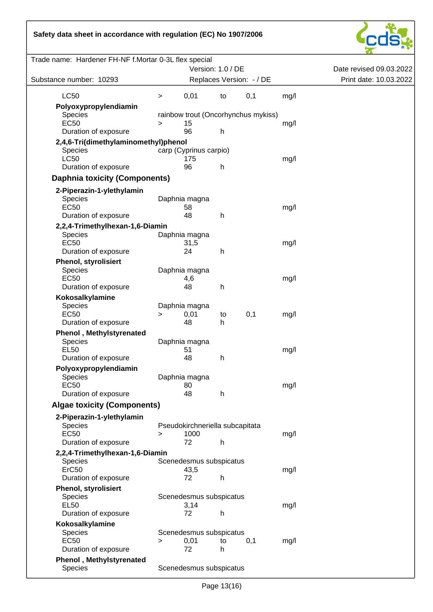

| Substance number: 10293                                | Version: 1.0 / DE<br>Replaces Version: - / DE |                                     | Date revised 09.03.2022<br>Print date: 10.03.2022 |  |
|--------------------------------------------------------|-----------------------------------------------|-------------------------------------|---------------------------------------------------|--|
| <b>LC50</b>                                            | 0,01<br>$\, > \,$                             | 0,1<br>to                           | mg/l                                              |  |
| Polyoxypropylendiamin<br><b>Species</b>                |                                               | rainbow trout (Oncorhynchus mykiss) |                                                   |  |
| <b>EC50</b>                                            | 15<br>$\geq$<br>96                            |                                     | mg/l                                              |  |
| Duration of exposure                                   |                                               | h                                   |                                                   |  |
| 2,4,6-Tri(dimethylaminomethyl)phenol<br><b>Species</b> | carp (Cyprinus carpio)                        |                                     |                                                   |  |
| <b>LC50</b>                                            | 175                                           |                                     | mg/l                                              |  |
| Duration of exposure                                   | 96                                            | h                                   |                                                   |  |
| <b>Daphnia toxicity (Components)</b>                   |                                               |                                     |                                                   |  |
| 2-Piperazin-1-ylethylamin                              |                                               |                                     |                                                   |  |
| Species                                                | Daphnia magna                                 |                                     |                                                   |  |
| <b>EC50</b>                                            | 58                                            |                                     | mg/l                                              |  |
| Duration of exposure                                   | 48                                            | h                                   |                                                   |  |
| 2,2,4-Trimethylhexan-1,6-Diamin                        |                                               |                                     |                                                   |  |
| Species                                                | Daphnia magna                                 |                                     |                                                   |  |
| <b>EC50</b>                                            | 31,5                                          |                                     | mg/l                                              |  |
| Duration of exposure                                   | 24                                            | h                                   |                                                   |  |
| <b>Phenol, styrolisiert</b>                            |                                               |                                     |                                                   |  |
| Species<br><b>EC50</b>                                 | Daphnia magna<br>4,6                          |                                     | mg/l                                              |  |
| Duration of exposure                                   | 48                                            | h                                   |                                                   |  |
| Kokosalkylamine                                        |                                               |                                     |                                                   |  |
| Species                                                | Daphnia magna                                 |                                     |                                                   |  |
| <b>EC50</b>                                            | 0,01<br>>                                     | 0,1<br>to                           | mg/l                                              |  |
| Duration of exposure                                   | 48                                            | h                                   |                                                   |  |
| <b>Phenol</b> , Methylstyrenated                       |                                               |                                     |                                                   |  |
| Species                                                | Daphnia magna                                 |                                     |                                                   |  |
| <b>EL50</b><br>Duration of exposure                    | 51<br>48                                      | h                                   | mg/l                                              |  |
|                                                        |                                               |                                     |                                                   |  |
| Polyoxypropylendiamin<br>Species                       | Daphnia magna                                 |                                     |                                                   |  |
| EC50                                                   | 80                                            |                                     | mg/l                                              |  |
| Duration of exposure                                   | 48                                            | h                                   |                                                   |  |
| <b>Algae toxicity (Components)</b>                     |                                               |                                     |                                                   |  |
| 2-Piperazin-1-ylethylamin                              |                                               |                                     |                                                   |  |
| <b>Species</b>                                         |                                               | Pseudokirchneriella subcapitata     |                                                   |  |
| <b>EC50</b>                                            | 1000<br>$\geq$                                |                                     | mg/l                                              |  |
| Duration of exposure                                   | 72                                            | h                                   |                                                   |  |
| 2,2,4-Trimethylhexan-1,6-Diamin                        |                                               |                                     |                                                   |  |
| <b>Species</b>                                         | Scenedesmus subspicatus                       |                                     |                                                   |  |
| ErC <sub>50</sub>                                      | 43,5                                          |                                     | mg/l                                              |  |
| Duration of exposure                                   | 72                                            | h                                   |                                                   |  |
| <b>Phenol, styrolisiert</b>                            |                                               |                                     |                                                   |  |
| Species<br><b>EL50</b>                                 | Scenedesmus subspicatus<br>3,14               |                                     | mg/l                                              |  |
| Duration of exposure                                   | 72                                            | h                                   |                                                   |  |
| Kokosalkylamine                                        |                                               |                                     |                                                   |  |
| Species                                                | Scenedesmus subspicatus                       |                                     |                                                   |  |
| <b>EC50</b>                                            | 0,01<br>$\, > \,$                             | 0,1<br>to                           | mg/l                                              |  |
| Duration of exposure                                   | 72                                            | h                                   |                                                   |  |
| <b>Phenol</b> , Methylstyrenated                       |                                               |                                     |                                                   |  |
| Species                                                | Scenedesmus subspicatus                       |                                     |                                                   |  |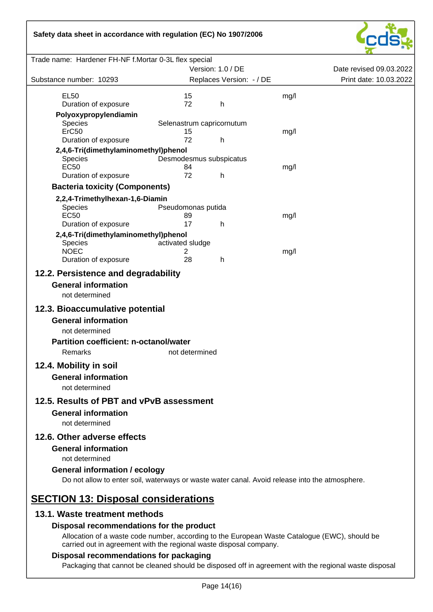

| Trade name: Hardener FH-NF f.Mortar 0-3L flex special                                          |                           |                          |      |                         |
|------------------------------------------------------------------------------------------------|---------------------------|--------------------------|------|-------------------------|
|                                                                                                |                           | Version: 1.0 / DE        |      | Date revised 09.03.2022 |
| Substance number: 10293                                                                        |                           | Replaces Version: - / DE |      | Print date: 10.03.2022  |
| <b>EL50</b>                                                                                    | 15                        |                          | mg/l |                         |
| Duration of exposure                                                                           | 72                        | h                        |      |                         |
| Polyoxypropylendiamin                                                                          |                           |                          |      |                         |
| <b>Species</b>                                                                                 | Selenastrum capricornutum |                          |      |                         |
| ErC50                                                                                          | 15<br>72                  |                          | mg/l |                         |
| Duration of exposure                                                                           |                           | h                        |      |                         |
| 2,4,6-Tri(dimethylaminomethyl)phenol<br>Species                                                | Desmodesmus subspicatus   |                          |      |                         |
| <b>EC50</b>                                                                                    | 84                        |                          | mg/l |                         |
| Duration of exposure                                                                           | 72                        | h.                       |      |                         |
| <b>Bacteria toxicity (Components)</b>                                                          |                           |                          |      |                         |
| 2,2,4-Trimethylhexan-1,6-Diamin                                                                |                           |                          |      |                         |
| <b>Species</b>                                                                                 | Pseudomonas putida        |                          |      |                         |
| <b>EC50</b>                                                                                    | 89                        |                          | mg/l |                         |
| Duration of exposure                                                                           | 17                        | h                        |      |                         |
| 2,4,6-Tri(dimethylaminomethyl)phenol<br><b>Species</b>                                         | activated sludge          |                          |      |                         |
| <b>NOEC</b>                                                                                    | 2                         |                          | mg/l |                         |
| Duration of exposure                                                                           | 28                        | h.                       |      |                         |
| 12.2. Persistence and degradability                                                            |                           |                          |      |                         |
| <b>General information</b>                                                                     |                           |                          |      |                         |
| not determined                                                                                 |                           |                          |      |                         |
| 12.3. Bioaccumulative potential                                                                |                           |                          |      |                         |
|                                                                                                |                           |                          |      |                         |
| <b>General information</b>                                                                     |                           |                          |      |                         |
| not determined                                                                                 |                           |                          |      |                         |
| <b>Partition coefficient: n-octanol/water</b>                                                  |                           |                          |      |                         |
| Remarks                                                                                        | not determined            |                          |      |                         |
| 12.4. Mobility in soil                                                                         |                           |                          |      |                         |
| <b>General information</b>                                                                     |                           |                          |      |                         |
| not determined                                                                                 |                           |                          |      |                         |
| 12.5. Results of PBT and vPvB assessment                                                       |                           |                          |      |                         |
| <b>General information</b>                                                                     |                           |                          |      |                         |
| not determined                                                                                 |                           |                          |      |                         |
| 12.6. Other adverse effects                                                                    |                           |                          |      |                         |
| <b>General information</b>                                                                     |                           |                          |      |                         |
|                                                                                                |                           |                          |      |                         |
| not determined                                                                                 |                           |                          |      |                         |
| <b>General information / ecology</b>                                                           |                           |                          |      |                         |
| Do not allow to enter soil, waterways or waste water canal. Avoid release into the atmosphere. |                           |                          |      |                         |
| <b>SECTION 13: Disposal considerations</b>                                                     |                           |                          |      |                         |
| 13.1. Waste treatment methods                                                                  |                           |                          |      |                         |
| Disposal recommendations for the product                                                       |                           |                          |      |                         |
| Allocation of a waste code number, according to the European Waste Catalogue (EWC), should be  |                           |                          |      |                         |
| carried out in agreement with the regional waste disposal company.                             |                           |                          |      |                         |

## **Disposal recommendations for packaging**

Packaging that cannot be cleaned should be disposed off in agreement with the regional waste disposal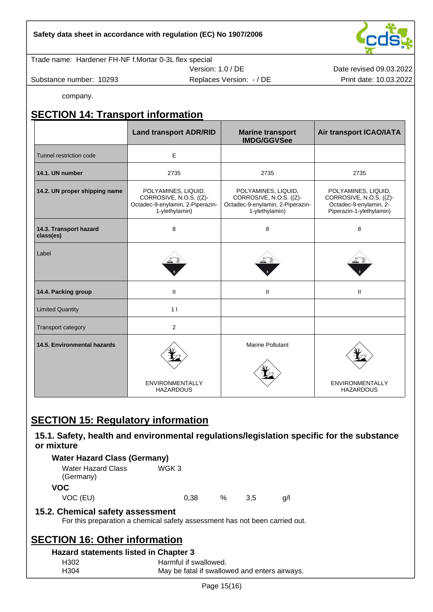Trade name: Hardener FH-NF f.Mortar 0-3L flex special

Substance number: 10293 **Print date: 10.03.2022** Replaces Version: - / DE Print date: 10.03.2022

Version: 1.0 / DE

Date revised 09.03.2022

company.

# **SECTION 14: Transport information**

|                                     | <b>Land transport ADR/RID</b>                                                                        | <b>Marine transport</b><br><b>IMDG/GGVSee</b>                                                        | Air transport ICAO/IATA                                                                              |
|-------------------------------------|------------------------------------------------------------------------------------------------------|------------------------------------------------------------------------------------------------------|------------------------------------------------------------------------------------------------------|
| Tunnel restriction code             | E                                                                                                    |                                                                                                      |                                                                                                      |
| 14.1. UN number                     | 2735                                                                                                 | 2735                                                                                                 | 2735                                                                                                 |
| 14.2. UN proper shipping name       | POLYAMINES, LIQUID,<br>CORROSIVE, N.O.S. ((Z)-<br>Octadec-9-enylamin, 2-Piperazin-<br>1-ylethylamin) | POLYAMINES, LIQUID,<br>CORROSIVE, N.O.S. ((Z)-<br>Octadec-9-enylamin, 2-Piperazin-<br>1-ylethylamin) | POLYAMINES, LIQUID,<br>CORROSIVE, N.O.S. ((Z)-<br>Octadec-9-enylamin, 2-<br>Piperazin-1-ylethylamin) |
| 14.3. Transport hazard<br>class(es) | 8                                                                                                    | 8                                                                                                    | 8                                                                                                    |
| Label                               |                                                                                                      |                                                                                                      |                                                                                                      |
| 14.4. Packing group                 | $\mathbf{II}$                                                                                        | Ш                                                                                                    | $\mathbf{II}$                                                                                        |
| <b>Limited Quantity</b>             | 1 <sub>1</sub>                                                                                       |                                                                                                      |                                                                                                      |
| Transport category                  | $\overline{2}$                                                                                       |                                                                                                      |                                                                                                      |
| 14.5. Environmental hazards         | ENVIRONMENTALLY<br><b>HAZARDOUS</b>                                                                  | <b>Marine Pollutant</b>                                                                              | <b>ENVIRONMENTALLY</b><br><b>HAZARDOUS</b>                                                           |

## **SECTION 15: Regulatory information**

## **15.1. Safety, health and environmental regulations/legislation specific for the substance or mixture**

## **Water Hazard Class (Germany)**

| <b>Water Hazard Class</b><br>(Germany) | WGK 3 |      |     |     |
|----------------------------------------|-------|------|-----|-----|
| <b>VOC</b>                             |       |      |     |     |
| VOC (EU)                               | 0.38  | $\%$ | 3.5 | a/l |

## **15.2. Chemical safety assessment**

For this preparation a chemical safety assessment has not been carried out.

## **SECTION 16: Other information**

#### **Hazard statements listed in Chapter 3**

| H <sub>302</sub> | Harmful if swallowed.                         |
|------------------|-----------------------------------------------|
| H304             | May be fatal if swallowed and enters airways. |